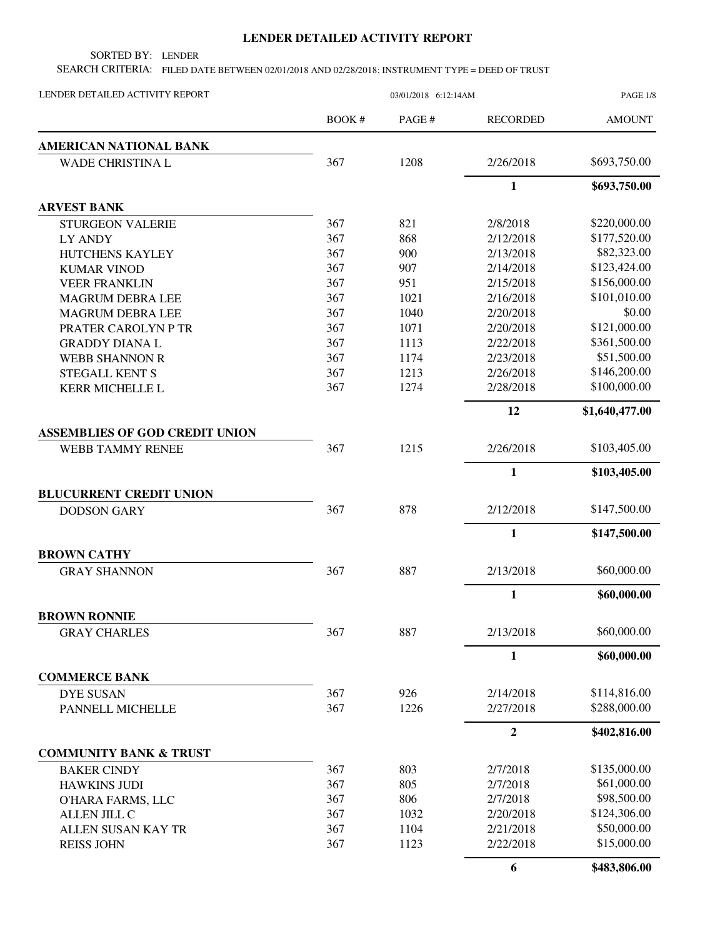## **LENDER DETAILED ACTIVITY REPORT**

SORTED BY: LENDER

SEARCH CRITERIA: FILED DATE BETWEEN 02/01/2018 AND 02/28/2018; INSTRUMENT TYPE = DEED OF TRUST

| LENDER DETAILED ACTIVITY REPORT       |            | <b>PAGE 1/8</b> |                 |                             |
|---------------------------------------|------------|-----------------|-----------------|-----------------------------|
|                                       | BOOK #     | PAGE#           | <b>RECORDED</b> | <b>AMOUNT</b>               |
| AMERICAN NATIONAL BANK                |            |                 |                 |                             |
| <b>WADE CHRISTINA L</b>               | 367        | 1208            | 2/26/2018       | \$693,750.00                |
|                                       |            |                 | $\mathbf{1}$    | \$693,750.00                |
| <b>ARVEST BANK</b>                    |            |                 |                 |                             |
| <b>STURGEON VALERIE</b>               | 367        | 821             | 2/8/2018        | \$220,000.00                |
| LY ANDY                               | 367        | 868             | 2/12/2018       | \$177,520.00                |
| HUTCHENS KAYLEY                       | 367        | 900             | 2/13/2018       | \$82,323.00                 |
| <b>KUMAR VINOD</b>                    | 367        | 907             | 2/14/2018       | \$123,424.00                |
| <b>VEER FRANKLIN</b>                  | 367        | 951             | 2/15/2018       | \$156,000.00                |
| <b>MAGRUM DEBRA LEE</b>               | 367        | 1021            | 2/16/2018       | \$101,010.00                |
| <b>MAGRUM DEBRA LEE</b>               | 367        | 1040            | 2/20/2018       | \$0.00                      |
| PRATER CAROLYN P TR                   | 367        | 1071            | 2/20/2018       | \$121,000.00                |
| <b>GRADDY DIANAL</b>                  | 367        | 1113            | 2/22/2018       | \$361,500.00                |
| <b>WEBB SHANNON R</b>                 | 367        | 1174            | 2/23/2018       | \$51,500.00<br>\$146,200.00 |
| <b>STEGALL KENT S</b>                 | 367<br>367 | 1213            | 2/26/2018       | \$100,000.00                |
| <b>KERR MICHELLE L</b>                |            | 1274            | 2/28/2018       |                             |
|                                       |            |                 | 12              | \$1,640,477.00              |
| <b>ASSEMBLIES OF GOD CREDIT UNION</b> |            |                 |                 |                             |
| <b>WEBB TAMMY RENEE</b>               | 367        | 1215            | 2/26/2018       | \$103,405.00                |
|                                       |            |                 | $\mathbf{1}$    | \$103,405.00                |
| <b>BLUCURRENT CREDIT UNION</b>        |            |                 |                 |                             |
| <b>DODSON GARY</b>                    | 367        | 878             | 2/12/2018       | \$147,500.00                |
|                                       |            |                 | $\mathbf{1}$    | \$147,500.00                |
| <b>BROWN CATHY</b>                    |            |                 |                 |                             |
| <b>GRAY SHANNON</b>                   | 367        | 887             | 2/13/2018       | \$60,000.00                 |
|                                       |            |                 | 1               | \$60,000.00                 |
| <b>BROWN RONNIE</b>                   |            |                 |                 |                             |
| <b>GRAY CHARLES</b>                   | 367        | 887             | 2/13/2018       | \$60,000.00                 |
|                                       |            |                 | $\mathbf{1}$    | \$60,000.00                 |
| <b>COMMERCE BANK</b>                  |            |                 |                 |                             |
| <b>DYE SUSAN</b>                      | 367        | 926             | 2/14/2018       | \$114,816.00                |
| PANNELL MICHELLE                      | 367        | 1226            | 2/27/2018       | \$288,000.00                |
|                                       |            |                 | $\mathbf{2}$    | \$402,816.00                |
| <b>COMMUNITY BANK &amp; TRUST</b>     |            |                 |                 |                             |
| <b>BAKER CINDY</b>                    | 367        | 803             | 2/7/2018        | \$135,000.00                |
| <b>HAWKINS JUDI</b>                   | 367        | 805             | 2/7/2018        | \$61,000.00                 |
| O'HARA FARMS, LLC                     | 367        | 806             | 2/7/2018        | \$98,500.00                 |
| <b>ALLEN JILL C</b>                   | 367        | 1032            | 2/20/2018       | \$124,306.00                |
| ALLEN SUSAN KAY TR                    | 367        | 1104            | 2/21/2018       | \$50,000.00                 |
| <b>REISS JOHN</b>                     | 367        | 1123            | 2/22/2018       | \$15,000.00                 |
|                                       |            |                 | 6               | \$483,806.00                |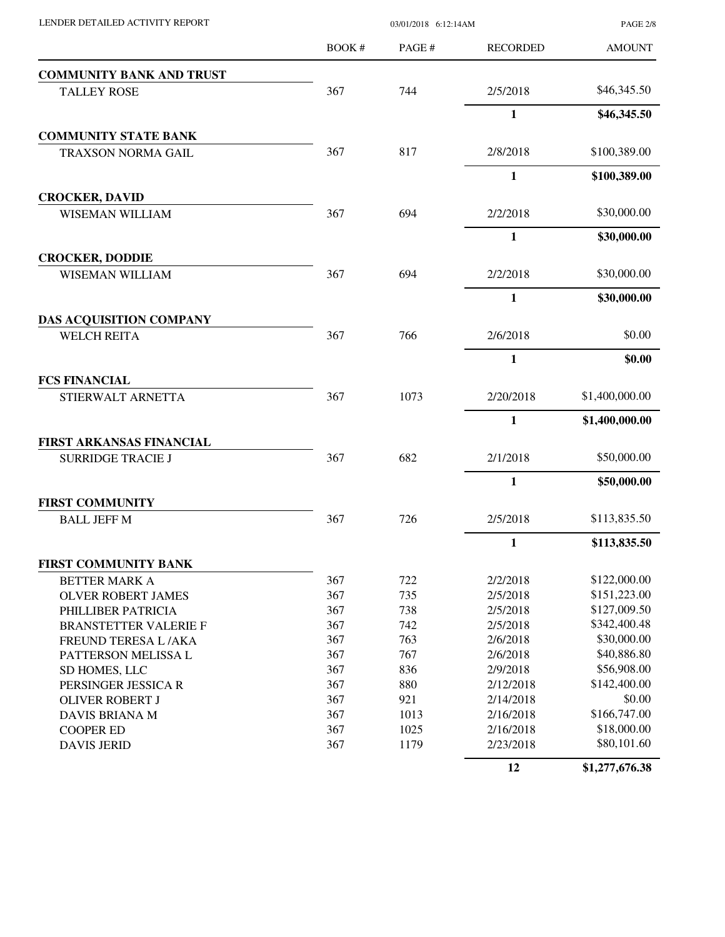| LENDER DETAILED ACTIVITY REPORT |       | <b>PAGE 2/8</b> |                 |                |
|---------------------------------|-------|-----------------|-----------------|----------------|
|                                 | BOOK# | PAGE#           | <b>RECORDED</b> | <b>AMOUNT</b>  |
| <b>COMMUNITY BANK AND TRUST</b> |       |                 |                 |                |
| <b>TALLEY ROSE</b>              | 367   | 744             | 2/5/2018        | \$46,345.50    |
|                                 |       |                 | $\mathbf{1}$    | \$46,345.50    |
| <b>COMMUNITY STATE BANK</b>     |       |                 |                 |                |
| TRAXSON NORMA GAIL              | 367   | 817             | 2/8/2018        | \$100,389.00   |
|                                 |       |                 | $\mathbf{1}$    | \$100,389.00   |
| <b>CROCKER, DAVID</b>           |       |                 |                 |                |
| <b>WISEMAN WILLIAM</b>          | 367   | 694             | 2/2/2018        | \$30,000.00    |
|                                 |       |                 | 1               | \$30,000.00    |
| <b>CROCKER, DODDIE</b>          |       |                 |                 |                |
| <b>WISEMAN WILLIAM</b>          | 367   | 694             | 2/2/2018        | \$30,000.00    |
|                                 |       |                 | $\mathbf{1}$    | \$30,000.00    |
| DAS ACQUISITION COMPANY         |       |                 |                 |                |
| <b>WELCH REITA</b>              | 367   | 766             | 2/6/2018        | \$0.00         |
|                                 |       |                 | 1               | \$0.00         |
| <b>FCS FINANCIAL</b>            |       |                 |                 |                |
| STIERWALT ARNETTA               | 367   | 1073            | 2/20/2018       | \$1,400,000.00 |
|                                 |       |                 | 1               | \$1,400,000.00 |
| FIRST ARKANSAS FINANCIAL        |       |                 |                 |                |
| <b>SURRIDGE TRACIE J</b>        | 367   | 682             | 2/1/2018        | \$50,000.00    |
|                                 |       |                 | $\mathbf{1}$    | \$50,000.00    |
| <b>FIRST COMMUNITY</b>          |       |                 |                 |                |
| <b>BALL JEFF M</b>              | 367   | 726             | 2/5/2018        | \$113,835.50   |
|                                 |       |                 | 1               | \$113,835.50   |
| FIRST COMMUNITY BANK            |       |                 |                 |                |
| <b>BETTER MARK A</b>            | 367   | 722             | 2/2/2018        | \$122,000.00   |
| <b>OLVER ROBERT JAMES</b>       | 367   | 735             | 2/5/2018        | \$151,223.00   |
| PHILLIBER PATRICIA              | 367   | 738             | 2/5/2018        | \$127,009.50   |
| <b>BRANSTETTER VALERIE F</b>    | 367   | 742             | 2/5/2018        | \$342,400.48   |
| FREUND TERESA L/AKA             | 367   | 763             | 2/6/2018        | \$30,000.00    |
| PATTERSON MELISSA L             | 367   | 767             | 2/6/2018        | \$40,886.80    |
| SD HOMES, LLC                   | 367   | 836             | 2/9/2018        | \$56,908.00    |
| PERSINGER JESSICA R             | 367   | 880             | 2/12/2018       | \$142,400.00   |
| <b>OLIVER ROBERT J</b>          | 367   | 921             | 2/14/2018       | \$0.00         |
| DAVIS BRIANA M                  | 367   | 1013            | 2/16/2018       | \$166,747.00   |
| <b>COOPER ED</b>                | 367   | 1025            | 2/16/2018       | \$18,000.00    |
| <b>DAVIS JERID</b>              | 367   | 1179            | 2/23/2018       | \$80,101.60    |
|                                 |       |                 |                 |                |

**12 \$1,277,676.38**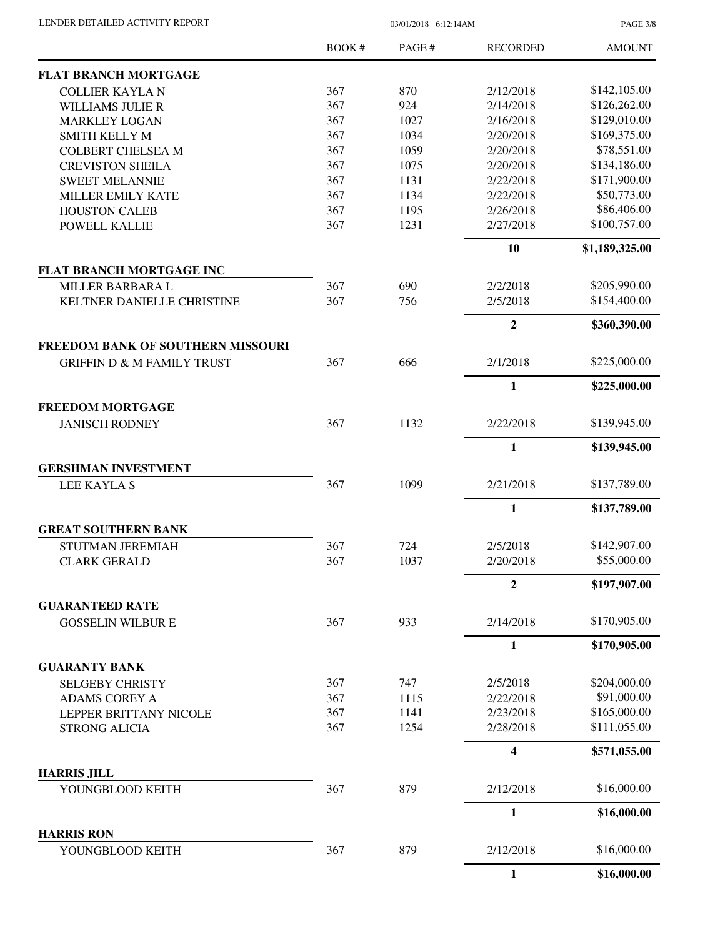PAGE 3/8

|                                       | BOOK # | PAGE # | <b>RECORDED</b>  | <b>AMOUNT</b>  |
|---------------------------------------|--------|--------|------------------|----------------|
| <b>FLAT BRANCH MORTGAGE</b>           |        |        |                  |                |
| <b>COLLIER KAYLA N</b>                | 367    | 870    | 2/12/2018        | \$142,105.00   |
| <b>WILLIAMS JULIE R</b>               | 367    | 924    | 2/14/2018        | \$126,262.00   |
| <b>MARKLEY LOGAN</b>                  | 367    | 1027   | 2/16/2018        | \$129,010.00   |
| <b>SMITH KELLY M</b>                  | 367    | 1034   | 2/20/2018        | \$169,375.00   |
| <b>COLBERT CHELSEA M</b>              | 367    | 1059   | 2/20/2018        | \$78,551.00    |
| <b>CREVISTON SHEILA</b>               | 367    | 1075   | 2/20/2018        | \$134,186.00   |
| <b>SWEET MELANNIE</b>                 | 367    | 1131   | 2/22/2018        | \$171,900.00   |
| MILLER EMILY KATE                     | 367    | 1134   | 2/22/2018        | \$50,773.00    |
| <b>HOUSTON CALEB</b>                  | 367    | 1195   | 2/26/2018        | \$86,406.00    |
| POWELL KALLIE                         | 367    | 1231   | 2/27/2018        | \$100,757.00   |
|                                       |        |        | 10               | \$1,189,325.00 |
| <b>FLAT BRANCH MORTGAGE INC</b>       |        |        |                  |                |
| <b>MILLER BARBARA L</b>               | 367    | 690    | 2/2/2018         | \$205,990.00   |
| KELTNER DANIELLE CHRISTINE            | 367    | 756    | 2/5/2018         | \$154,400.00   |
|                                       |        |        | $\overline{2}$   | \$360,390.00   |
| FREEDOM BANK OF SOUTHERN MISSOURI     |        |        |                  |                |
| <b>GRIFFIN D &amp; M FAMILY TRUST</b> | 367    | 666    | 2/1/2018         | \$225,000.00   |
|                                       |        |        | 1                | \$225,000.00   |
| <b>FREEDOM MORTGAGE</b>               |        |        |                  |                |
| <b>JANISCH RODNEY</b>                 | 367    | 1132   | 2/22/2018        | \$139,945.00   |
|                                       |        |        | $\mathbf{1}$     | \$139,945.00   |
| <b>GERSHMAN INVESTMENT</b>            |        |        |                  |                |
| LEE KAYLA S                           | 367    | 1099   | 2/21/2018        | \$137,789.00   |
|                                       |        |        | $\mathbf{1}$     | \$137,789.00   |
| <b>GREAT SOUTHERN BANK</b>            |        |        |                  |                |
| STUTMAN JEREMIAH                      | 367    | 724    | 2/5/2018         | \$142,907.00   |
| <b>CLARK GERALD</b>                   | 367    | 1037   | 2/20/2018        | \$55,000.00    |
|                                       |        |        | $\overline{2}$   | \$197,907.00   |
| <b>GUARANTEED RATE</b>                |        |        |                  |                |
| <b>GOSSELIN WILBUR E</b>              | 367    | 933    | 2/14/2018        | \$170,905.00   |
|                                       |        |        | $\mathbf{1}$     | \$170,905.00   |
| <b>GUARANTY BANK</b>                  |        |        |                  |                |
| <b>SELGEBY CHRISTY</b>                | 367    | 747    | 2/5/2018         | \$204,000.00   |
| <b>ADAMS COREY A</b>                  | 367    | 1115   | 2/22/2018        | \$91,000.00    |
| LEPPER BRITTANY NICOLE                | 367    | 1141   | 2/23/2018        | \$165,000.00   |
| <b>STRONG ALICIA</b>                  | 367    | 1254   | 2/28/2018        | \$111,055.00   |
|                                       |        |        | $\boldsymbol{4}$ | \$571,055.00   |
| <b>HARRIS JILL</b>                    |        |        |                  |                |
| YOUNGBLOOD KEITH                      | 367    | 879    | 2/12/2018        | \$16,000.00    |
|                                       |        |        | 1                | \$16,000.00    |
| <b>HARRIS RON</b><br>YOUNGBLOOD KEITH | 367    | 879    | 2/12/2018        | \$16,000.00    |
|                                       |        |        | 1                | \$16,000.00    |
|                                       |        |        |                  |                |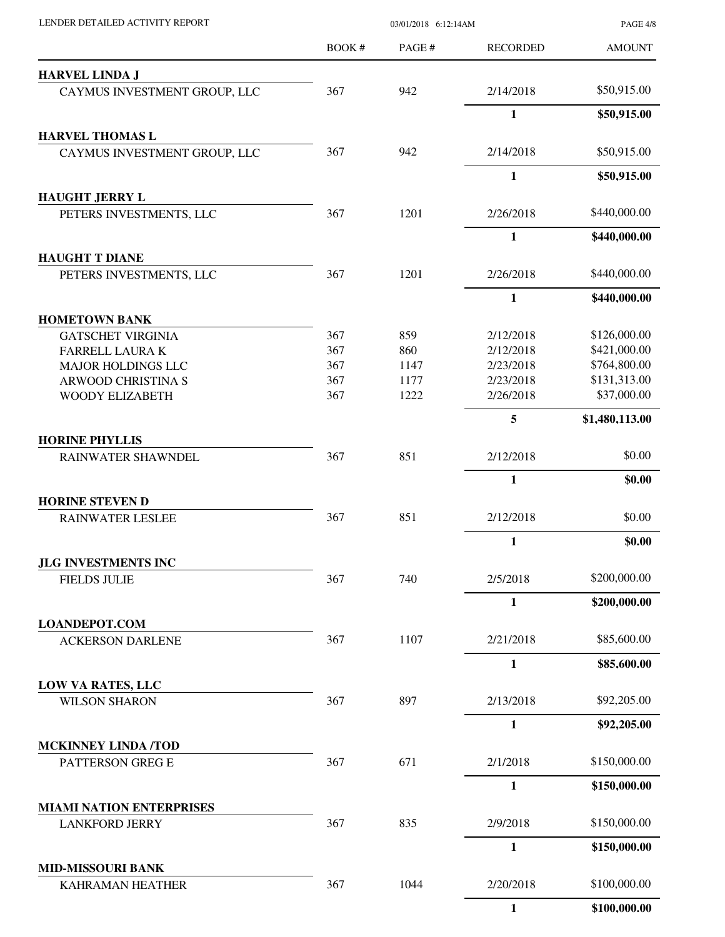| LENDER DETAILED ACTIVITY REPORT                          |        | 03/01/2018 6:12:14AM |                 |                |
|----------------------------------------------------------|--------|----------------------|-----------------|----------------|
|                                                          | BOOK # | PAGE#                | <b>RECORDED</b> | <b>AMOUNT</b>  |
| <b>HARVEL LINDA J</b>                                    |        |                      |                 |                |
| CAYMUS INVESTMENT GROUP, LLC                             | 367    | 942                  | 2/14/2018       | \$50,915.00    |
|                                                          |        |                      | $\mathbf{1}$    | \$50,915.00    |
| <b>HARVEL THOMAS L</b><br>CAYMUS INVESTMENT GROUP, LLC   | 367    | 942                  | 2/14/2018       | \$50,915.00    |
|                                                          |        |                      | $\mathbf{1}$    | \$50,915.00    |
| <b>HAUGHT JERRY L</b>                                    |        |                      |                 |                |
| PETERS INVESTMENTS, LLC                                  | 367    | 1201                 | 2/26/2018       | \$440,000.00   |
|                                                          |        |                      | $\mathbf{1}$    | \$440,000.00   |
| <b>HAUGHT T DIANE</b>                                    |        |                      |                 |                |
| PETERS INVESTMENTS, LLC                                  | 367    | 1201                 | 2/26/2018       | \$440,000.00   |
|                                                          |        |                      | $\mathbf{1}$    | \$440,000.00   |
| <b>HOMETOWN BANK</b>                                     |        |                      |                 |                |
| <b>GATSCHET VIRGINIA</b>                                 | 367    | 859                  | 2/12/2018       | \$126,000.00   |
| FARRELL LAURA K                                          | 367    | 860                  | 2/12/2018       | \$421,000.00   |
| <b>MAJOR HOLDINGS LLC</b>                                | 367    | 1147                 | 2/23/2018       | \$764,800.00   |
| ARWOOD CHRISTINA S                                       | 367    | 1177                 | 2/23/2018       | \$131,313.00   |
| WOODY ELIZABETH                                          | 367    | 1222                 | 2/26/2018       | \$37,000.00    |
|                                                          |        |                      | 5               | \$1,480,113.00 |
| <b>HORINE PHYLLIS</b><br>RAINWATER SHAWNDEL              | 367    | 851                  | 2/12/2018       | \$0.00         |
|                                                          |        |                      | $\mathbf{1}$    |                |
| <b>HORINE STEVEN D</b>                                   |        |                      |                 | \$0.00         |
| <b>RAINWATER LESLEE</b>                                  | 367    | 851                  | 2/12/2018       | \$0.00         |
|                                                          |        |                      | $\mathbf{1}$    | \$0.00         |
| JLG INVESTMENTS INC                                      |        |                      |                 |                |
| <b>FIELDS JULIE</b>                                      | 367    | 740                  | 2/5/2018        | \$200,000.00   |
|                                                          |        |                      | $\mathbf{1}$    | \$200,000.00   |
| <b>LOANDEPOT.COM</b><br><b>ACKERSON DARLENE</b>          | 367    | 1107                 | 2/21/2018       | \$85,600.00    |
|                                                          |        |                      | $\mathbf{1}$    | \$85,600.00    |
| LOW VA RATES, LLC                                        |        |                      |                 |                |
| <b>WILSON SHARON</b>                                     | 367    | 897                  | 2/13/2018       | \$92,205.00    |
|                                                          |        |                      | $\mathbf{1}$    | \$92,205.00    |
| <b>MCKINNEY LINDA /TOD</b>                               |        |                      |                 |                |
| PATTERSON GREG E                                         | 367    | 671                  | 2/1/2018        | \$150,000.00   |
|                                                          |        |                      | $\mathbf{1}$    | \$150,000.00   |
| <b>MIAMI NATION ENTERPRISES</b><br><b>LANKFORD JERRY</b> | 367    | 835                  | 2/9/2018        | \$150,000.00   |
|                                                          |        |                      | $\mathbf{1}$    | \$150,000.00   |
| <b>MID-MISSOURI BANK</b>                                 |        |                      |                 |                |
| KAHRAMAN HEATHER                                         | 367    | 1044                 | 2/20/2018       | \$100,000.00   |
|                                                          |        |                      | $\mathbf{1}$    | \$100,000.00   |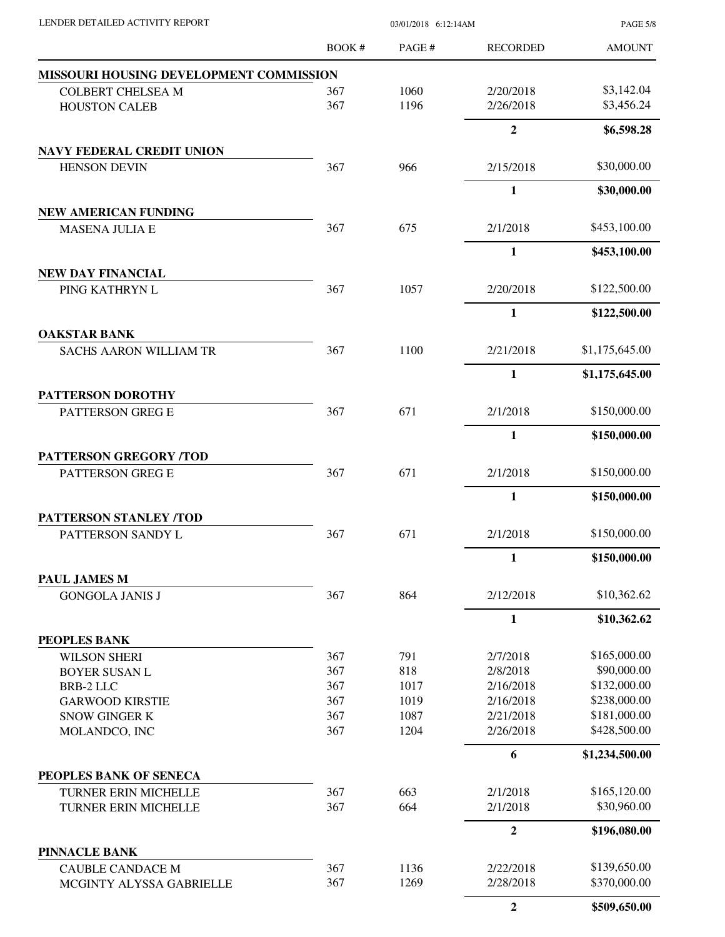| LENDER DETAILED ACTIVITY REPORT                         |        | 03/01/2018 6:12:14AM |                 | <b>PAGE 5/8</b> |
|---------------------------------------------------------|--------|----------------------|-----------------|-----------------|
|                                                         | BOOK # | PAGE#                | <b>RECORDED</b> | <b>AMOUNT</b>   |
| MISSOURI HOUSING DEVELOPMENT COMMISSION                 |        |                      |                 |                 |
| <b>COLBERT CHELSEA M</b>                                | 367    | 1060                 | 2/20/2018       | \$3,142.04      |
| <b>HOUSTON CALEB</b>                                    | 367    | 1196                 | 2/26/2018       | \$3,456.24      |
|                                                         |        |                      | $\overline{2}$  | \$6,598.28      |
| <b>NAVY FEDERAL CREDIT UNION</b><br><b>HENSON DEVIN</b> | 367    | 966                  | 2/15/2018       | \$30,000.00     |
|                                                         |        |                      | $\mathbf{1}$    | \$30,000.00     |
| <b>NEW AMERICAN FUNDING</b>                             |        |                      |                 |                 |
| <b>MASENA JULIA E</b>                                   | 367    | 675                  | 2/1/2018        | \$453,100.00    |
|                                                         |        |                      | 1               | \$453,100.00    |
| NEW DAY FINANCIAL                                       |        |                      |                 |                 |
| PING KATHRYN L                                          | 367    | 1057                 | 2/20/2018       | \$122,500.00    |
|                                                         |        |                      | $\mathbf{1}$    | \$122,500.00    |
| <b>OAKSTAR BANK</b><br><b>SACHS AARON WILLIAM TR</b>    | 367    | 1100                 | 2/21/2018       | \$1,175,645.00  |
|                                                         |        |                      | 1               | \$1,175,645.00  |
| PATTERSON DOROTHY                                       |        |                      |                 |                 |
| PATTERSON GREG E                                        | 367    | 671                  | 2/1/2018        | \$150,000.00    |
|                                                         |        |                      | 1               | \$150,000.00    |
| <b>PATTERSON GREGORY /TOD</b>                           |        |                      |                 |                 |
| PATTERSON GREG E                                        | 367    | 671                  | 2/1/2018        | \$150,000.00    |
|                                                         |        |                      | $\mathbf{1}$    | \$150,000.00    |
| PATTERSON STANLEY /TOD                                  |        | 671                  | 2/1/2018        | \$150,000.00    |
| PATTERSON SANDY L                                       | 367    |                      |                 |                 |
| PAUL JAMES M                                            |        |                      | $\mathbf{1}$    | \$150,000.00    |
| <b>GONGOLA JANIS J</b>                                  | 367    | 864                  | 2/12/2018       | \$10,362.62     |
|                                                         |        |                      | $\mathbf{1}$    | \$10,362.62     |
| PEOPLES BANK                                            |        |                      |                 |                 |
| <b>WILSON SHERI</b>                                     | 367    | 791                  | 2/7/2018        | \$165,000.00    |
| <b>BOYER SUSAN L</b>                                    | 367    | 818                  | 2/8/2018        | \$90,000.00     |
| <b>BRB-2 LLC</b>                                        | 367    | 1017                 | 2/16/2018       | \$132,000.00    |
| <b>GARWOOD KIRSTIE</b>                                  | 367    | 1019                 | 2/16/2018       | \$238,000.00    |
| <b>SNOW GINGER K</b>                                    | 367    | 1087                 | 2/21/2018       | \$181,000.00    |
| MOLANDCO, INC                                           | 367    | 1204                 | 2/26/2018       | \$428,500.00    |
|                                                         |        |                      | 6               | \$1,234,500.00  |
| PEOPLES BANK OF SENECA                                  |        |                      |                 |                 |
| <b>TURNER ERIN MICHELLE</b>                             | 367    | 663                  | 2/1/2018        | \$165,120.00    |
| TURNER ERIN MICHELLE                                    | 367    | 664                  | 2/1/2018        | \$30,960.00     |
|                                                         |        |                      | $\overline{2}$  | \$196,080.00    |
| <b>PINNACLE BANK</b><br><b>CAUBLE CANDACE M</b>         | 367    | 1136                 | 2/22/2018       | \$139,650.00    |
| MCGINTY ALYSSA GABRIELLE                                | 367    | 1269                 | 2/28/2018       | \$370,000.00    |
|                                                         |        |                      | $\mathbf{2}$    | \$509,650.00    |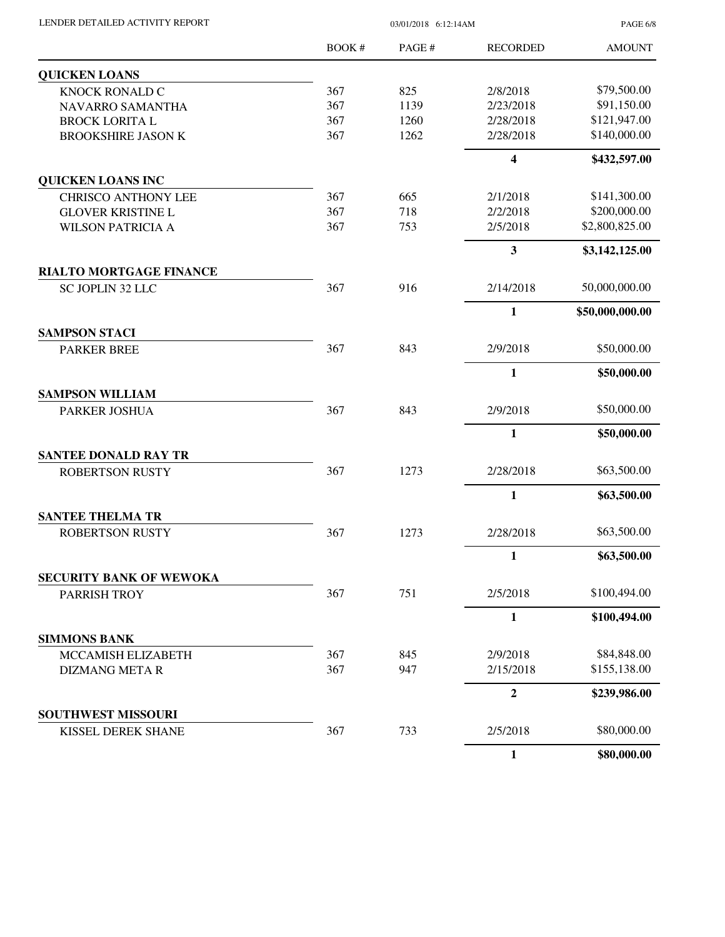| LENDER DETAILED ACTIVITY REPORT |  |
|---------------------------------|--|
|                                 |  |

03/01/2018 6:12:14AM

PAGE 6/8

|                                | <b>BOOK#</b> | PAGE # | <b>RECORDED</b>         | <b>AMOUNT</b>   |
|--------------------------------|--------------|--------|-------------------------|-----------------|
| <b>QUICKEN LOANS</b>           |              |        |                         |                 |
| <b>KNOCK RONALD C</b>          | 367          | 825    | 2/8/2018                | \$79,500.00     |
| NAVARRO SAMANTHA               | 367          | 1139   | 2/23/2018               | \$91,150.00     |
| <b>BROCK LORITA L</b>          | 367          | 1260   | 2/28/2018               | \$121,947.00    |
| <b>BROOKSHIRE JASON K</b>      | 367          | 1262   | 2/28/2018               | \$140,000.00    |
|                                |              |        | $\overline{\mathbf{4}}$ | \$432,597.00    |
| <b>QUICKEN LOANS INC</b>       |              |        |                         |                 |
| <b>CHRISCO ANTHONY LEE</b>     | 367          | 665    | 2/1/2018                | \$141,300.00    |
| <b>GLOVER KRISTINE L</b>       | 367          | 718    | 2/2/2018                | \$200,000.00    |
| <b>WILSON PATRICIA A</b>       | 367          | 753    | 2/5/2018                | \$2,800,825.00  |
|                                |              |        | 3                       | \$3,142,125.00  |
| <b>RIALTO MORTGAGE FINANCE</b> |              |        |                         |                 |
| SC JOPLIN 32 LLC               | 367          | 916    | 2/14/2018               | 50,000,000.00   |
|                                |              |        | $\mathbf{1}$            | \$50,000,000.00 |
| <b>SAMPSON STACI</b>           |              |        |                         |                 |
| <b>PARKER BREE</b>             | 367          | 843    | 2/9/2018                | \$50,000.00     |
|                                |              |        | $\mathbf{1}$            | \$50,000.00     |
| <b>SAMPSON WILLIAM</b>         |              |        |                         |                 |
| PARKER JOSHUA                  | 367          | 843    | 2/9/2018                | \$50,000.00     |
|                                |              |        | $\mathbf{1}$            | \$50,000.00     |
| <b>SANTEE DONALD RAY TR</b>    |              |        |                         |                 |
| <b>ROBERTSON RUSTY</b>         | 367          | 1273   | 2/28/2018               | \$63,500.00     |
|                                |              |        | $\mathbf{1}$            | \$63,500.00     |
| <b>SANTEE THELMA TR</b>        |              |        |                         |                 |
| <b>ROBERTSON RUSTY</b>         | 367          | 1273   | 2/28/2018               | \$63,500.00     |
|                                |              |        | $\mathbf{1}$            | \$63,500.00     |
| <b>SECURITY BANK OF WEWOKA</b> |              |        |                         |                 |
| PARRISH TROY                   | 367          | 751    | 2/5/2018                | \$100,494.00    |
|                                |              |        | $\mathbf{1}$            | \$100,494.00    |
| <b>SIMMONS BANK</b>            |              |        |                         |                 |
| MCCAMISH ELIZABETH             | 367          | 845    | 2/9/2018                | \$84,848.00     |
| <b>DIZMANG META R</b>          | 367          | 947    | 2/15/2018               | \$155,138.00    |
|                                |              |        | $\boldsymbol{2}$        | \$239,986.00    |
| <b>SOUTHWEST MISSOURI</b>      |              |        |                         |                 |
| KISSEL DEREK SHANE             | 367          | 733    | 2/5/2018                | \$80,000.00     |
|                                |              |        | $\mathbf{1}$            | \$80,000.00     |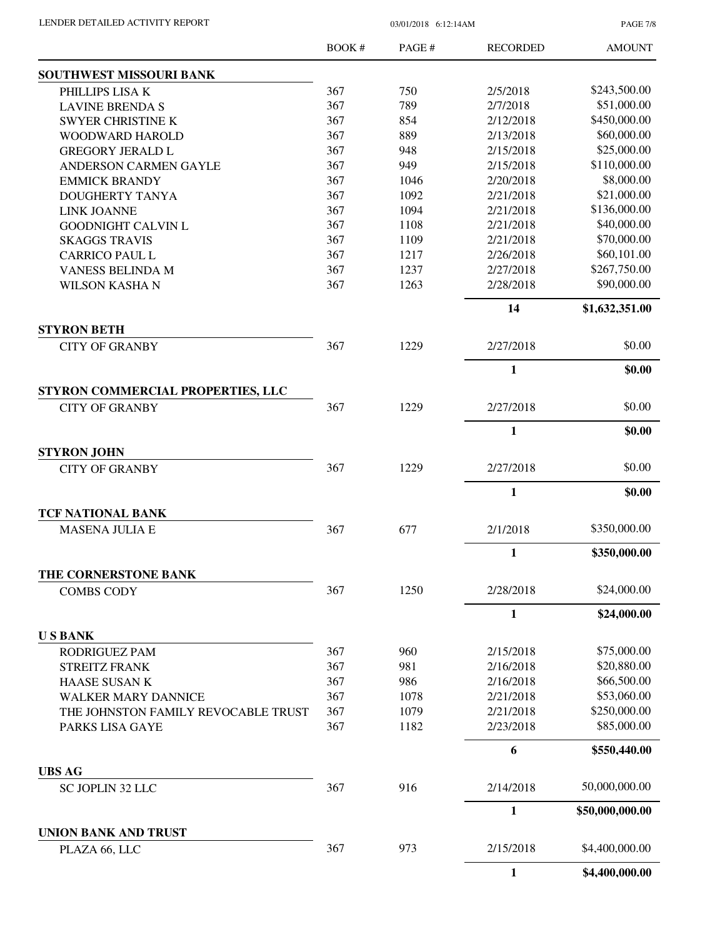PAGE 7/8

|                                                            | <b>BOOK#</b> | PAGE# | <b>RECORDED</b> | <b>AMOUNT</b>   |
|------------------------------------------------------------|--------------|-------|-----------------|-----------------|
| <b>SOUTHWEST MISSOURI BANK</b>                             |              |       |                 |                 |
| PHILLIPS LISA K                                            | 367          | 750   | 2/5/2018        | \$243,500.00    |
| <b>LAVINE BRENDA S</b>                                     | 367          | 789   | 2/7/2018        | \$51,000.00     |
| <b>SWYER CHRISTINE K</b>                                   | 367          | 854   | 2/12/2018       | \$450,000.00    |
| WOODWARD HAROLD                                            | 367          | 889   | 2/13/2018       | \$60,000.00     |
| <b>GREGORY JERALD L</b>                                    | 367          | 948   | 2/15/2018       | \$25,000.00     |
| ANDERSON CARMEN GAYLE                                      | 367          | 949   | 2/15/2018       | \$110,000.00    |
| <b>EMMICK BRANDY</b>                                       | 367          | 1046  | 2/20/2018       | \$8,000.00      |
| DOUGHERTY TANYA                                            | 367          | 1092  | 2/21/2018       | \$21,000.00     |
| <b>LINK JOANNE</b>                                         | 367          | 1094  | 2/21/2018       | \$136,000.00    |
| <b>GOODNIGHT CALVIN L</b>                                  | 367          | 1108  | 2/21/2018       | \$40,000.00     |
| <b>SKAGGS TRAVIS</b>                                       | 367          | 1109  | 2/21/2018       | \$70,000.00     |
| <b>CARRICO PAUL L</b>                                      | 367          | 1217  | 2/26/2018       | \$60,101.00     |
| <b>VANESS BELINDA M</b>                                    | 367          | 1237  | 2/27/2018       | \$267,750.00    |
|                                                            | 367          | 1263  | 2/28/2018       | \$90,000.00     |
| <b>WILSON KASHA N</b>                                      |              |       |                 |                 |
|                                                            |              |       | 14              | \$1,632,351.00  |
| <b>STYRON BETH</b><br><b>CITY OF GRANBY</b>                | 367          | 1229  | 2/27/2018       | \$0.00          |
|                                                            |              |       | 1               | \$0.00          |
|                                                            |              |       |                 |                 |
| STYRON COMMERCIAL PROPERTIES, LLC<br><b>CITY OF GRANBY</b> | 367          | 1229  | 2/27/2018       | \$0.00          |
|                                                            |              |       | 1               | \$0.00          |
| <b>STYRON JOHN</b>                                         |              |       |                 |                 |
| <b>CITY OF GRANBY</b>                                      | 367          | 1229  | 2/27/2018       | \$0.00          |
|                                                            |              |       | 1               | \$0.00          |
| <b>TCF NATIONAL BANK</b>                                   |              |       |                 |                 |
| <b>MASENA JULIA E</b>                                      | 367          | 677   | 2/1/2018        | \$350,000.00    |
|                                                            |              |       | 1               | \$350,000.00    |
| THE CORNERSTONE BANK<br><b>COMBS CODY</b>                  | 367          | 1250  | 2/28/2018       | \$24,000.00     |
|                                                            |              |       |                 |                 |
|                                                            |              |       | $\mathbf{1}$    | \$24,000.00     |
| <b>USBANK</b>                                              | 367          | 960   | 2/15/2018       | \$75,000.00     |
| RODRIGUEZ PAM                                              |              |       |                 |                 |
| <b>STREITZ FRANK</b>                                       | 367          | 981   | 2/16/2018       | \$20,880.00     |
| HAASE SUSAN K                                              | 367          | 986   | 2/16/2018       | \$66,500.00     |
| <b>WALKER MARY DANNICE</b>                                 | 367          | 1078  | 2/21/2018       | \$53,060.00     |
| THE JOHNSTON FAMILY REVOCABLE TRUST                        | 367          | 1079  | 2/21/2018       | \$250,000.00    |
| PARKS LISA GAYE                                            | 367          | 1182  | 2/23/2018       | \$85,000.00     |
|                                                            |              |       | 6               | \$550,440.00    |
| <b>UBS AG</b>                                              |              |       |                 |                 |
| SC JOPLIN 32 LLC                                           | 367          | 916   | 2/14/2018       | 50,000,000.00   |
|                                                            |              |       | $\mathbf{1}$    | \$50,000,000.00 |
| <b>UNION BANK AND TRUST</b><br>PLAZA 66, LLC               | 367          | 973   | 2/15/2018       | \$4,400,000.00  |
|                                                            |              |       | 1               | \$4,400,000.00  |
|                                                            |              |       |                 |                 |